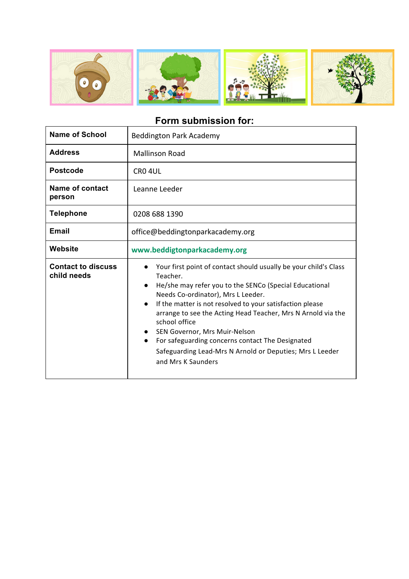

## **Form submission for:**

| <b>Name of School</b>                    | <b>Beddington Park Academy</b>                                                                                                                                                                                                                                                                                                                                                                                                                                                                                                                                     |
|------------------------------------------|--------------------------------------------------------------------------------------------------------------------------------------------------------------------------------------------------------------------------------------------------------------------------------------------------------------------------------------------------------------------------------------------------------------------------------------------------------------------------------------------------------------------------------------------------------------------|
| <b>Address</b>                           | <b>Mallinson Road</b>                                                                                                                                                                                                                                                                                                                                                                                                                                                                                                                                              |
| <b>Postcode</b>                          | CRO <sub>4UL</sub>                                                                                                                                                                                                                                                                                                                                                                                                                                                                                                                                                 |
| Name of contact<br>person                | Leanne Leeder                                                                                                                                                                                                                                                                                                                                                                                                                                                                                                                                                      |
| <b>Telephone</b>                         | 0208 688 1390                                                                                                                                                                                                                                                                                                                                                                                                                                                                                                                                                      |
| <b>Email</b>                             | office@beddingtonparkacademy.org                                                                                                                                                                                                                                                                                                                                                                                                                                                                                                                                   |
| Website                                  | www.beddigtonparkacademy.org                                                                                                                                                                                                                                                                                                                                                                                                                                                                                                                                       |
| <b>Contact to discuss</b><br>child needs | Your first point of contact should usually be your child's Class<br>$\bullet$<br>Teacher.<br>He/she may refer you to the SENCo (Special Educational<br>$\bullet$<br>Needs Co-ordinator), Mrs L Leeder.<br>If the matter is not resolved to your satisfaction please<br>$\bullet$<br>arrange to see the Acting Head Teacher, Mrs N Arnold via the<br>school office<br>SEN Governor, Mrs Muir-Nelson<br>$\bullet$<br>For safeguarding concerns contact The Designated<br>$\bullet$<br>Safeguarding Lead-Mrs N Arnold or Deputies; Mrs L Leeder<br>and Mrs K Saunders |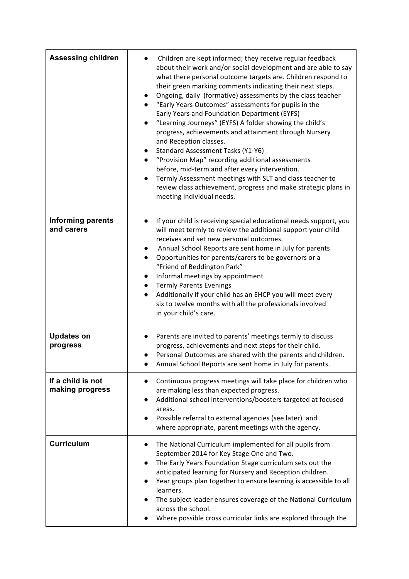| <b>Assessing children</b>              | Children are kept informed; they receive regular feedback<br>about their work and/or social development and are able to say<br>what there personal outcome targets are. Children respond to<br>their green marking comments indicating their next steps.<br>Ongoing, daily (formative) assessments by the class teacher<br>"Early Years Outcomes" assessments for pupils in the<br>Early Years and Foundation Department (EYFS)<br>"Learning Journeys" (EYFS) A folder showing the child's<br>progress, achievements and attainment through Nursery<br>and Reception classes.<br>Standard Assessment Tasks (Y1-Y6)<br>"Provision Map" recording additional assessments<br>$\bullet$<br>before, mid-term and after every intervention.<br>Termly Assessment meetings with SLT and class teacher to<br>review class achievement, progress and make strategic plans in<br>meeting individual needs. |
|----------------------------------------|--------------------------------------------------------------------------------------------------------------------------------------------------------------------------------------------------------------------------------------------------------------------------------------------------------------------------------------------------------------------------------------------------------------------------------------------------------------------------------------------------------------------------------------------------------------------------------------------------------------------------------------------------------------------------------------------------------------------------------------------------------------------------------------------------------------------------------------------------------------------------------------------------|
| <b>Informing parents</b><br>and carers | If your child is receiving special educational needs support, you<br>will meet termly to review the additional support your child<br>receives and set new personal outcomes.<br>Annual School Reports are sent home in July for parents<br>Opportunities for parents/carers to be governors or a<br>"Friend of Beddington Park"<br>Informal meetings by appointment<br><b>Termly Parents Evenings</b><br>$\bullet$<br>Additionally if your child has an EHCP you will meet every<br>six to twelve months with all the professionals involved<br>in your child's care.                                                                                                                                                                                                                                                                                                                            |
| <b>Updates on</b><br>progress          | Parents are invited to parents' meetings termly to discuss<br>progress, achievements and next steps for their child.<br>Personal Outcomes are shared with the parents and children.<br>Annual School Reports are sent home in July for parents.                                                                                                                                                                                                                                                                                                                                                                                                                                                                                                                                                                                                                                                  |
| If a child is not<br>making progress   | Continuous progress meetings will take place for children who<br>$\bullet$<br>are making less than expected progress.<br>Additional school interventions/boosters targeted at focused<br>areas.<br>Possible referral to external agencies (see later) and<br>where appropriate, parent meetings with the agency.                                                                                                                                                                                                                                                                                                                                                                                                                                                                                                                                                                                 |
| <b>Curriculum</b>                      | The National Curriculum implemented for all pupils from<br>$\bullet$<br>September 2014 for Key Stage One and Two.<br>The Early Years Foundation Stage curriculum sets out the<br>anticipated learning for Nursery and Reception children.<br>Year groups plan together to ensure learning is accessible to all<br>learners.<br>The subject leader ensures coverage of the National Curriculum<br>across the school.<br>Where possible cross curricular links are explored through the                                                                                                                                                                                                                                                                                                                                                                                                            |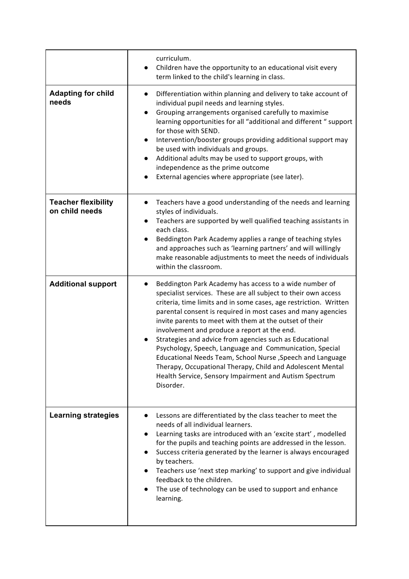|                                              | curriculum.<br>Children have the opportunity to an educational visit every<br>term linked to the child's learning in class.                                                                                                                                                                                                                                                                                                                                                                                                                                                                                                                                                                                   |
|----------------------------------------------|---------------------------------------------------------------------------------------------------------------------------------------------------------------------------------------------------------------------------------------------------------------------------------------------------------------------------------------------------------------------------------------------------------------------------------------------------------------------------------------------------------------------------------------------------------------------------------------------------------------------------------------------------------------------------------------------------------------|
| <b>Adapting for child</b><br>needs           | Differentiation within planning and delivery to take account of<br>$\bullet$<br>individual pupil needs and learning styles.<br>Grouping arrangements organised carefully to maximise<br>$\bullet$<br>learning opportunities for all "additional and different " support<br>for those with SEND.<br>Intervention/booster groups providing additional support may<br>$\bullet$<br>be used with individuals and groups.<br>Additional adults may be used to support groups, with<br>$\bullet$<br>independence as the prime outcome<br>External agencies where appropriate (see later).<br>$\bullet$                                                                                                              |
| <b>Teacher flexibility</b><br>on child needs | Teachers have a good understanding of the needs and learning<br>$\bullet$<br>styles of individuals.<br>Teachers are supported by well qualified teaching assistants in<br>$\bullet$<br>each class.<br>Beddington Park Academy applies a range of teaching styles<br>$\bullet$<br>and approaches such as 'learning partners' and will willingly<br>make reasonable adjustments to meet the needs of individuals<br>within the classroom.                                                                                                                                                                                                                                                                       |
| <b>Additional support</b>                    | Beddington Park Academy has access to a wide number of<br>$\bullet$<br>specialist services. These are all subject to their own access<br>criteria, time limits and in some cases, age restriction. Written<br>parental consent is required in most cases and many agencies<br>invite parents to meet with them at the outset of their<br>involvement and produce a report at the end.<br>Strategies and advice from agencies such as Educational<br>Psychology, Speech, Language and Communication, Special<br>Educational Needs Team, School Nurse, Speech and Language<br>Therapy, Occupational Therapy, Child and Adolescent Mental<br>Health Service, Sensory Impairment and Autism Spectrum<br>Disorder. |
| <b>Learning strategies</b>                   | Lessons are differentiated by the class teacher to meet the<br>$\bullet$<br>needs of all individual learners.<br>Learning tasks are introduced with an 'excite start', modelled<br>for the pupils and teaching points are addressed in the lesson.<br>Success criteria generated by the learner is always encouraged<br>$\bullet$<br>by teachers.<br>Teachers use 'next step marking' to support and give individual<br>feedback to the children.<br>The use of technology can be used to support and enhance<br>learning.                                                                                                                                                                                    |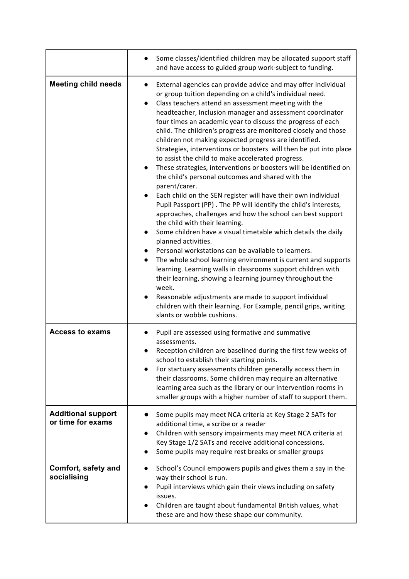|                                                | Some classes/identified children may be allocated support staff<br>and have access to guided group work-subject to funding.                                                                                                                                                                                                                                                                                                                                                                                                                                                                                                                                                                                                                                                                                                                                                                                                                                                                                                                                                                                                                                                                                                                                                                                                                                                                                                                                                                   |
|------------------------------------------------|-----------------------------------------------------------------------------------------------------------------------------------------------------------------------------------------------------------------------------------------------------------------------------------------------------------------------------------------------------------------------------------------------------------------------------------------------------------------------------------------------------------------------------------------------------------------------------------------------------------------------------------------------------------------------------------------------------------------------------------------------------------------------------------------------------------------------------------------------------------------------------------------------------------------------------------------------------------------------------------------------------------------------------------------------------------------------------------------------------------------------------------------------------------------------------------------------------------------------------------------------------------------------------------------------------------------------------------------------------------------------------------------------------------------------------------------------------------------------------------------------|
| <b>Meeting child needs</b>                     | External agencies can provide advice and may offer individual<br>$\bullet$<br>or group tuition depending on a child's individual need.<br>Class teachers attend an assessment meeting with the<br>headteacher, Inclusion manager and assessment coordinator<br>four times an academic year to discuss the progress of each<br>child. The children's progress are monitored closely and those<br>children not making expected progress are identified.<br>Strategies, interventions or boosters will then be put into place<br>to assist the child to make accelerated progress.<br>These strategies, interventions or boosters will be identified on<br>the child's personal outcomes and shared with the<br>parent/carer.<br>Each child on the SEN register will have their own individual<br>Pupil Passport (PP). The PP will identify the child's interests,<br>approaches, challenges and how the school can best support<br>the child with their learning.<br>Some children have a visual timetable which details the daily<br>$\bullet$<br>planned activities.<br>Personal workstations can be available to learners.<br>The whole school learning environment is current and supports<br>learning. Learning walls in classrooms support children with<br>their learning, showing a learning journey throughout the<br>week.<br>Reasonable adjustments are made to support individual<br>children with their learning. For Example, pencil grips, writing<br>slants or wobble cushions. |
| <b>Access to exams</b>                         | Pupil are assessed using formative and summative<br>assessments.<br>Reception children are baselined during the first few weeks of<br>school to establish their starting points.<br>For startuary assessments children generally access them in<br>their classrooms. Some children may require an alternative<br>learning area such as the library or our intervention rooms in<br>smaller groups with a higher number of staff to support them.                                                                                                                                                                                                                                                                                                                                                                                                                                                                                                                                                                                                                                                                                                                                                                                                                                                                                                                                                                                                                                              |
| <b>Additional support</b><br>or time for exams | Some pupils may meet NCA criteria at Key Stage 2 SATs for<br>additional time, a scribe or a reader<br>Children with sensory impairments may meet NCA criteria at<br>Key Stage 1/2 SATs and receive additional concessions.<br>Some pupils may require rest breaks or smaller groups                                                                                                                                                                                                                                                                                                                                                                                                                                                                                                                                                                                                                                                                                                                                                                                                                                                                                                                                                                                                                                                                                                                                                                                                           |
| Comfort, safety and<br>socialising             | School's Council empowers pupils and gives them a say in the<br>$\bullet$<br>way their school is run.<br>Pupil interviews which gain their views including on safety<br>issues.<br>Children are taught about fundamental British values, what<br>these are and how these shape our community.                                                                                                                                                                                                                                                                                                                                                                                                                                                                                                                                                                                                                                                                                                                                                                                                                                                                                                                                                                                                                                                                                                                                                                                                 |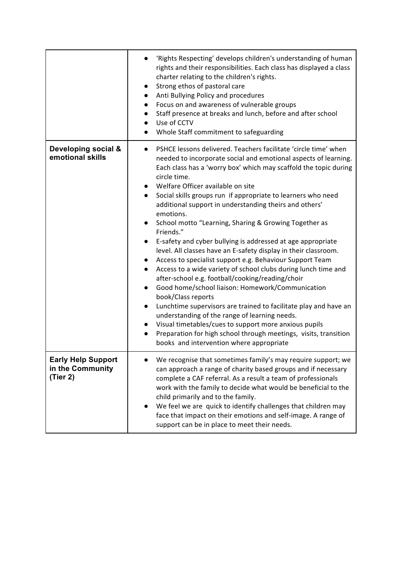|                                                           | 'Rights Respecting' develops children's understanding of human<br>rights and their responsibilities. Each class has displayed a class<br>charter relating to the children's rights.<br>Strong ethos of pastoral care<br>$\bullet$<br>Anti Bullying Policy and procedures<br>Focus on and awareness of vulnerable groups<br>$\bullet$<br>Staff presence at breaks and lunch, before and after school<br>Use of CCTV<br>$\bullet$<br>Whole Staff commitment to safeguarding<br>$\bullet$                                                                                                                                                                                                                                                                                                                                                                                                                                                                                                                                                                                                                                                                                                                                                                                       |
|-----------------------------------------------------------|------------------------------------------------------------------------------------------------------------------------------------------------------------------------------------------------------------------------------------------------------------------------------------------------------------------------------------------------------------------------------------------------------------------------------------------------------------------------------------------------------------------------------------------------------------------------------------------------------------------------------------------------------------------------------------------------------------------------------------------------------------------------------------------------------------------------------------------------------------------------------------------------------------------------------------------------------------------------------------------------------------------------------------------------------------------------------------------------------------------------------------------------------------------------------------------------------------------------------------------------------------------------------|
| Developing social &<br>emotional skills                   | PSHCE lessons delivered. Teachers facilitate 'circle time' when<br>$\bullet$<br>needed to incorporate social and emotional aspects of learning.<br>Each class has a 'worry box' which may scaffold the topic during<br>circle time.<br>Welfare Officer available on site<br>Social skills groups run if appropriate to learners who need<br>$\bullet$<br>additional support in understanding theirs and others'<br>emotions.<br>School motto "Learning, Sharing & Growing Together as<br>$\bullet$<br>Friends."<br>E-safety and cyber bullying is addressed at age appropriate<br>$\bullet$<br>level. All classes have an E-safety display in their classroom.<br>Access to specialist support e.g. Behaviour Support Team<br>$\bullet$<br>Access to a wide variety of school clubs during lunch time and<br>$\bullet$<br>after-school e.g. football/cooking/reading/choir<br>Good home/school liaison: Homework/Communication<br>$\bullet$<br>book/Class reports<br>Lunchtime supervisors are trained to facilitate play and have an<br>$\bullet$<br>understanding of the range of learning needs.<br>Visual timetables/cues to support more anxious pupils<br>Preparation for high school through meetings, visits, transition<br>books and intervention where appropriate |
| <b>Early Help Support</b><br>in the Community<br>(Tier 2) | We recognise that sometimes family's may require support; we<br>can approach a range of charity based groups and if necessary<br>complete a CAF referral. As a result a team of professionals<br>work with the family to decide what would be beneficial to the<br>child primarily and to the family.<br>We feel we are quick to identify challenges that children may<br>face that impact on their emotions and self-image. A range of<br>support can be in place to meet their needs.                                                                                                                                                                                                                                                                                                                                                                                                                                                                                                                                                                                                                                                                                                                                                                                      |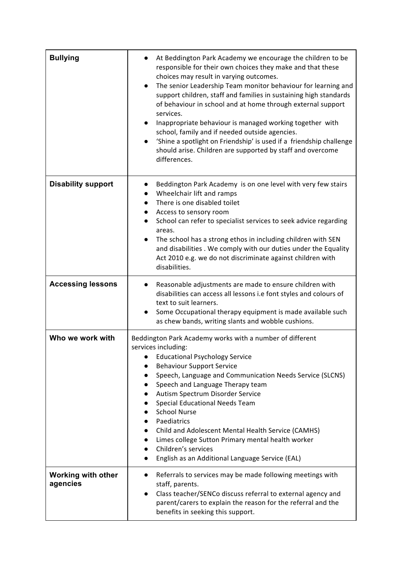| <b>Bullying</b>                       | At Beddington Park Academy we encourage the children to be<br>responsible for their own choices they make and that these<br>choices may result in varying outcomes.<br>The senior Leadership Team monitor behaviour for learning and<br>$\bullet$<br>support children, staff and families in sustaining high standards<br>of behaviour in school and at home through external support<br>services.<br>Inappropriate behaviour is managed working together with<br>$\bullet$<br>school, family and if needed outside agencies.<br>'Shine a spotlight on Friendship' is used if a friendship challenge<br>should arise. Children are supported by staff and overcome<br>differences. |
|---------------------------------------|------------------------------------------------------------------------------------------------------------------------------------------------------------------------------------------------------------------------------------------------------------------------------------------------------------------------------------------------------------------------------------------------------------------------------------------------------------------------------------------------------------------------------------------------------------------------------------------------------------------------------------------------------------------------------------|
| <b>Disability support</b>             | Beddington Park Academy is on one level with very few stairs<br>Wheelchair lift and ramps<br>There is one disabled toilet<br>Access to sensory room<br>School can refer to specialist services to seek advice regarding<br>$\bullet$<br>areas.<br>The school has a strong ethos in including children with SEN<br>$\bullet$<br>and disabilities . We comply with our duties under the Equality<br>Act 2010 e.g. we do not discriminate against children with<br>disabilities.                                                                                                                                                                                                      |
| <b>Accessing lessons</b>              | Reasonable adjustments are made to ensure children with<br>$\bullet$<br>disabilities can access all lessons i.e font styles and colours of<br>text to suit learners.<br>Some Occupational therapy equipment is made available such<br>$\bullet$<br>as chew bands, writing slants and wobble cushions.                                                                                                                                                                                                                                                                                                                                                                              |
| Who we work with                      | Beddington Park Academy works with a number of different<br>services including:<br>• Educational Psychology Service<br><b>Behaviour Support Service</b><br>Speech, Language and Communication Needs Service (SLCNS)<br>Speech and Language Therapy team<br>Autism Spectrum Disorder Service<br>Special Educational Needs Team<br><b>School Nurse</b><br>Paediatrics<br>Child and Adolescent Mental Health Service (CAMHS)<br>Limes college Sutton Primary mental health worker<br>Children's services<br>English as an Additional Language Service (EAL)                                                                                                                           |
| <b>Working with other</b><br>agencies | Referrals to services may be made following meetings with<br>$\bullet$<br>staff, parents.<br>Class teacher/SENCo discuss referral to external agency and<br>$\bullet$<br>parent/carers to explain the reason for the referral and the<br>benefits in seeking this support.                                                                                                                                                                                                                                                                                                                                                                                                         |